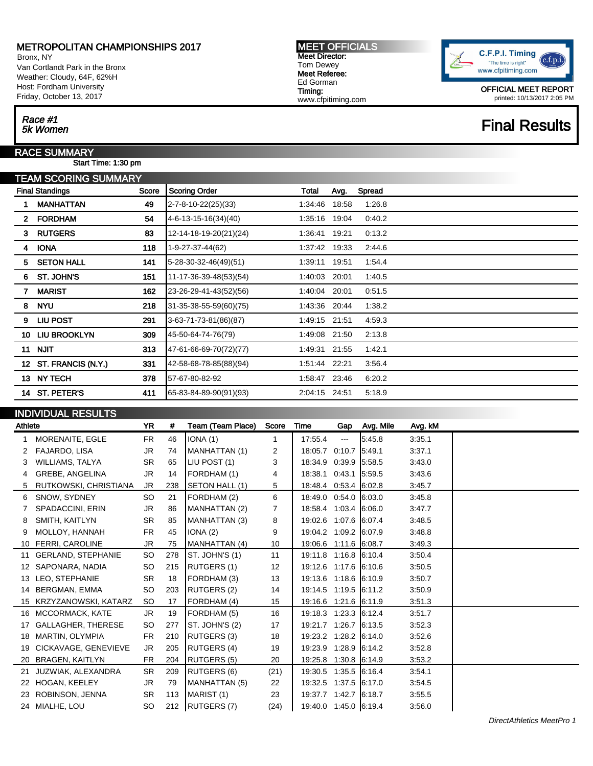Bronx, NY Van Cortlandt Park in the Bronx Weather: Cloudy, 64F, 62%H Host: Fordham University Friday, October 13, 2017

#### MEET OFFICIALS Meet Director: Tom Dewey Meet Referee: Ed Gorman Timing: www.cfpitiming.com



OFFICIAL MEET REPORT printed: 10/13/2017 2:05 PM

## **Final Results**

## Race #1<br>5k Women

#### RACE SUMMARY

Start Time: 1:30 pm

| TEAM SCORING SUMMARY |                                 |     |                               |         |       |        |  |  |  |  |
|----------------------|---------------------------------|-----|-------------------------------|---------|-------|--------|--|--|--|--|
|                      | <b>Final Standings</b><br>Score |     | <b>Scoring Order</b>          | Total   | Avg.  | Spread |  |  |  |  |
|                      | <b>MANHATTAN</b>                | 49  | $2 - 7 - 8 - 10 - 22(25)(33)$ | 1:34:46 | 18:58 | 1:26.8 |  |  |  |  |
| $\mathbf{2}$         | <b>FORDHAM</b>                  | 54  | 4-6-13-15-16(34)(40)          | 1:35:16 | 19:04 | 0:40.2 |  |  |  |  |
| 3                    | <b>RUTGERS</b>                  | 83  | 12-14-18-19-20(21)(24)        | 1:36:41 | 19:21 | 0:13.2 |  |  |  |  |
| 4                    | <b>IONA</b>                     | 118 | 1-9-27-37-44(62)              | 1.37.42 | 19:33 | 2:44.6 |  |  |  |  |
| 5                    | <b>SETON HALL</b>               | 141 | 5-28-30-32-46(49)(51)         | 1:39:11 | 19.51 | 1:54.4 |  |  |  |  |
| 6.                   | ST. JOHN'S                      | 151 | 11-17-36-39-48(53)(54)        | 1:40:03 | 20:01 | 1:40.5 |  |  |  |  |
| 7                    | <b>MARIST</b>                   | 162 | 23-26-29-41-43(52)(56)        | 1:40:04 | 20:01 | 0:51.5 |  |  |  |  |
| 8                    | <b>NYU</b>                      | 218 | 31-35-38-55-59(60)(75)        | 1:43:36 | 20:44 | 1:38.2 |  |  |  |  |
| 9                    | <b>LIU POST</b>                 | 291 | 3-63-71-73-81(86)(87)         | 1:49:15 | 21:51 | 4.59.3 |  |  |  |  |
| 10                   | <b>LIU BROOKLYN</b>             | 309 | 45-50-64-74-76(79)            | 1:49:08 | 21:50 | 2:13.8 |  |  |  |  |
| 11                   | <b>NJIT</b>                     | 313 | 47-61-66-69-70(72)(77)        | 1:49:31 | 21:55 | 1:42.1 |  |  |  |  |
|                      | 12 ST. FRANCIS (N.Y.)           | 331 | 42-58-68-78-85(88)(94)        | 1.51.44 | 22:21 | 3.56.4 |  |  |  |  |
|                      | 13 NY TECH                      | 378 | 57-67-80-82-92                | 1:58:47 | 23:46 | 6:20.2 |  |  |  |  |
| 14                   | <b>ST. PETER'S</b>              | 411 | 65-83-84-89-90(91)(93)        | 2:04:15 | 24:51 | 5:18.9 |  |  |  |  |
|                      |                                 |     |                               |         |       |        |  |  |  |  |

### INDIVIDUAL RESULTS

| Athlete |                           | <b>YR</b> | #   | Team (Team Place)  | Score          | Time                  |                 | Gap Avg. Mile | Avg. kM |  |
|---------|---------------------------|-----------|-----|--------------------|----------------|-----------------------|-----------------|---------------|---------|--|
|         | MORENAITE, EGLE           | <b>FR</b> | 46  | IONA(1)            | 1              | 17:55.4               | $\sim$ $\sim$   | 5.45.8        | 3:35.1  |  |
|         | FAJARDO, LISA             | JR.       | 74  | MANHATTAN (1)      | 2              | 18:05.7               | 0:10.7          | 5:49.1        | 3:37.1  |  |
| 3       | WILLIAMS, TALYA           | <b>SR</b> | 65  | LIU POST (1)       | 3              | 18:34.9 0:39.9        |                 | 5:58.5        | 3.43.0  |  |
| 4       | GREBE, ANGELINA           | JR.       | 14  | FORDHAM (1)        | 4              | 18:38.1               | 0.43.1          | 5:59.5        | 3:43.6  |  |
| 5       | RUTKOWSKI, CHRISTIANA     | JR.       | 238 | SETON HALL (1)     | 5              | 18:48.4 0:53.4 6:02.8 |                 |               | 3:45.7  |  |
| 6       | SNOW, SYDNEY              | <b>SO</b> | 21  | FORDHAM (2)        | 6              | 18:49.0 0:54.0 6:03.0 |                 |               | 3.45.8  |  |
|         | SPADACCINI, ERIN          | JR        | 86  | MANHATTAN (2)      | $\overline{7}$ | 18:58.4 1:03.4 6:06.0 |                 |               | 3:47.7  |  |
| 8       | SMITH, KAITLYN            | <b>SR</b> | 85  | MANHATTAN (3)      | 8              | 19:02.6 1:07.6 6:07.4 |                 |               | 3:48.5  |  |
| 9       | MOLLOY, HANNAH            | <b>FR</b> | 45  | IONA(2)            | 9              | 19:04.2 1:09.2 6:07.9 |                 |               | 3:48.8  |  |
| 10      | <b>FERRI, CAROLINE</b>    | JR        | 75  | MANHATTAN (4)      | 10             | 19:06.6 1:11.6 6:08.7 |                 |               | 3:49.3  |  |
| 11      | <b>GERLAND, STEPHANIE</b> | SO.       | 278 | ST. JOHN'S (1)     | 11             | 19:11.8 1:16.8 6:10.4 |                 |               | 3:50.4  |  |
| 12      | SAPONARA, NADIA           | SO.       | 215 | RUTGERS (1)        | 12             | 19:12.6 1:17.6 6:10.6 |                 |               | 3:50.5  |  |
| 13      | LEO, STEPHANIE            | <b>SR</b> | 18  | FORDHAM (3)        | 13             | 19:13.6               | $1:18.6$ 6:10.9 |               | 3:50.7  |  |
|         | 14 BERGMAN, EMMA          | SO.       | 203 | RUTGERS (2)        | 14             | 19:14.5 1:19.5 6:11.2 |                 |               | 3:50.9  |  |
|         | 15 KRZYZANOWSKI, KATARZ   | SO.       | 17  | FORDHAM (4)        | 15             | 19:16.6 1:21.6 6:11.9 |                 |               | 3:51.3  |  |
|         | 16 MCCORMACK, KATE        | JR.       | 19  | FORDHAM (5)        | 16             | 19:18.3 1:23.3 6:12.4 |                 |               | 3:51.7  |  |
|         | <b>GALLAGHER, THERESE</b> | SO.       | 277 | ST. JOHN'S (2)     | 17             | 19:21.7               | $1:26.7$ 6:13.5 |               | 3:52.3  |  |
| 18      | MARTIN, OLYMPIA           | <b>FR</b> | 210 | RUTGERS (3)        | 18             | 19:23.2 1:28.2 6:14.0 |                 |               | 3:52.6  |  |
| 19      | CICKAVAGE, GENEVIEVE      | JR        | 205 | <b>RUTGERS (4)</b> | 19             | 19:23.9               | $1:28.9$ 6:14.2 |               | 3:52.8  |  |
| 20      | BRAGEN, KAITLYN           | FR        | 204 | RUTGERS (5)        | 20             | 19:25.8               | $1:30.8$ 6:14.9 |               | 3:53.2  |  |
| 21      | JUZWIAK, ALEXANDRA        | <b>SR</b> | 209 | <b>RUTGERS (6)</b> | (21)           | 19:30.5               | $1:35.5$ 6:16.4 |               | 3:54.1  |  |
| 22      | HOGAN, KEELEY             | JR        | 79  | MANHATTAN (5)      | 22             | 19:32.5 1:37.5 6:17.0 |                 |               | 3:54.5  |  |
|         | ROBINSON, JENNA           | <b>SR</b> | 113 | MARIST (1)         | 23             | 19:37.7               | 1.42.7          | 6:18.7        | 3:55.5  |  |
|         | 24 MIALHE, LOU            | SO.       |     | 212   RUTGERS (7)  | (24)           | 19:40.0 1:45.0 6:19.4 |                 |               | 3:56.0  |  |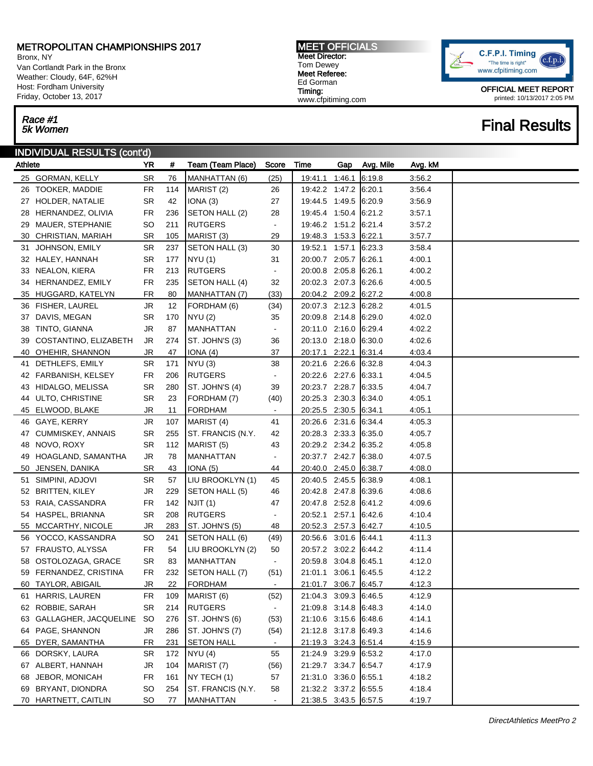Bronx, NY Van Cortlandt Park in the Bronx Weather: Cloudy, 64F, 62%H Host: Fordham University Friday, October 13, 2017

# Race #1<br>5k Women

### INDIVIDUAL RESULTS (cont'd)

| Athlete |                          | YR.             | #   | Team (Team Place)        | Score                    | Time                  | Gap | Avg. Mile | Avg. kM |  |
|---------|--------------------------|-----------------|-----|--------------------------|--------------------------|-----------------------|-----|-----------|---------|--|
|         | 25 GORMAN, KELLY         | SR              | 76  | MANHATTAN (6)            | (25)                     | 19:41.1 1:46.1        |     | 6:19.8    | 3:56.2  |  |
|         | 26 TOOKER, MADDIE        | <b>FR</b>       | 114 | MARIST <sub>(2)</sub>    | 26                       | 19:42.2 1:47.2 6:20.1 |     |           | 3:56.4  |  |
|         | 27 HOLDER, NATALIE       | SR              | 42  | IONA(3)                  | 27                       | 19:44.5 1:49.5 6:20.9 |     |           | 3:56.9  |  |
|         | 28 HERNANDEZ, OLIVIA     | FR              | 236 | SETON HALL (2)           | 28                       | 19:45.4 1:50.4 6:21.2 |     |           | 3:57.1  |  |
| 29      | MAUER, STEPHANIE         | <b>SO</b>       | 211 | <b>RUTGERS</b>           | $\blacksquare$           | 19:46.2 1:51.2 6:21.4 |     |           | 3:57.2  |  |
| 30      | CHRISTIAN, MARIAH        | SR.             | 105 | MARIST <sub>(3)</sub>    | 29                       | 19:48.3 1:53.3 6:22.1 |     |           | 3:57.7  |  |
| 31      | JOHNSON, EMILY           | SR              | 237 | SETON HALL (3)           | 30                       | 19:52.1 1:57.1        |     | 6:23.3    | 3:58.4  |  |
|         | 32 HALEY, HANNAH         | SR              | 177 | <b>NYU</b> (1)           | 31                       | 20:00.7 2:05.7 6:26.1 |     |           | 4:00.1  |  |
|         | 33 NEALON, KIERA         | FR              | 213 | <b>RUTGERS</b>           | $\blacksquare$           | 20:00.8 2:05.8        |     | 6:26.1    | 4:00.2  |  |
|         | 34 HERNANDEZ, EMILY      | FR              | 235 | SETON HALL (4)           | 32                       | 20:02.3 2:07.3        |     | 6.26.6    | 4:00.5  |  |
|         | 35 HUGGARD, KATELYN      | FR              | 80  | MANHATTAN (7)            | (33)                     | 20:04.2 2:09.2 6:27.2 |     |           | 4:00.8  |  |
|         | 36 FISHER, LAUREL        | JR              | 12  | FORDHAM (6)              | (34)                     | 20:07.3 2:12.3        |     | 6:28.2    | 4:01.5  |  |
|         | 37 DAVIS, MEGAN          | SR              | 170 | <b>NYU (2)</b>           | 35                       | 20:09.8 2:14.8        |     | 6:29.0    | 4:02.0  |  |
|         | 38 TINTO, GIANNA         | JR              | 87  | <b>MANHATTAN</b>         | $\blacksquare$           | 20:11.0 2:16.0        |     | 6:29.4    | 4:02.2  |  |
| 39      | COSTANTINO, ELIZABETH    | JR              | 274 | ST. JOHN'S (3)           | 36                       | 20:13.0 2:18.0        |     | 6:30.0    | 4:02.6  |  |
|         | 40 O'HEHIR, SHANNON      | JR              | 47  | <u>IONA (4)</u>          | 37                       | 20:17.1 2:22.1        |     | 6:31.4    | 4:03.4  |  |
| 41      | DETHLEFS, EMILY          | SR              | 171 | NYU(3)                   | 38                       | 20:21.6 2:26.6        |     | 6:32.8    | 4:04.3  |  |
|         | 42 FARBANISH, KELSEY     | FR              | 206 | <b>RUTGERS</b>           | $\blacksquare$           | 20:22.6 2:27.6        |     | 6:33.1    | 4:04.5  |  |
|         | 43 HIDALGO, MELISSA      | SR              | 280 | ST. JOHN'S (4)           | 39                       | 20:23.7 2:28.7 6:33.5 |     |           | 4:04.7  |  |
|         | 44 ULTO, CHRISTINE       | SR              | 23  | FORDHAM (7)              | (40)                     | 20:25.3 2:30.3        |     | 6:34.0    | 4:05.1  |  |
|         | 45 ELWOOD, BLAKE         | JR              | 11  | FORDHAM                  | $\sim$                   | 20:25.5 2:30.5 6:34.1 |     |           | 4:05.1  |  |
|         | 46 GAYE, KERRY           | JR              | 107 | MARIST (4)               | 41                       | 20:26.6 2:31.6        |     | 6:34.4    | 4:05.3  |  |
|         | 47 CUMMISKEY, ANNAIS     | SR              | 255 | <b>ST. FRANCIS (N.Y.</b> | 42                       | 20:28.3 2:33.3 6:35.0 |     |           | 4:05.7  |  |
|         | 48 NOVO, ROXY            | SR              | 112 | MARIST (5)               | 43                       | 20:29.2 2:34.2 6:35.2 |     |           | 4:05.8  |  |
| 49      | HOAGLAND, SAMANTHA       | JR              | 78  | MANHATTAN                | $\blacksquare$           | 20:37.7 2:42.7 6:38.0 |     |           | 4:07.5  |  |
| 50      | JENSEN, DANIKA           | SR              | 43  | <u>IONA (5)</u>          | 44                       | 20:40.0 2:45.0 6:38.7 |     |           | 4:08.0  |  |
| 51      | SIMPINI, ADJOVI          | SR              | 57  | LIU BROOKLYN (1)         | 45                       | 20:40.5 2:45.5        |     | 6:38.9    | 4:08.1  |  |
|         | 52 BRITTEN, KILEY        | JR              | 229 | SETON HALL (5)           | 46                       | 20:42.8 2:47.8 6:39.6 |     |           | 4:08.6  |  |
|         | 53 RAIA, CASSANDRA       | FR              | 142 | NJIT (1)                 | 47                       | 20:47.8 2:52.8        |     | 6:41.2    | 4:09.6  |  |
|         | 54 HASPEL, BRIANNA       | <b>SR</b>       | 208 | <b>RUTGERS</b>           | $\blacksquare$           | 20:52.1 2:57.1        |     | 6:42.6    | 4:10.4  |  |
|         | 55 MCCARTHY, NICOLE      | JR              | 283 | ST. JOHN'S (5)           | 48                       | 20:52.3 2:57.3 6:42.7 |     |           | 4:10.5  |  |
|         | 56 YOCCO, KASSANDRA      | SO              | 241 | SETON HALL (6)           | (49)                     | 20:56.6 3:01.6        |     | 6:44.1    | 4:11.3  |  |
|         | 57 FRAUSTO, ALYSSA       | FR              | 54  | LIU BROOKLYN (2)         | 50                       | 20:57.2 3:02.2 6:44.2 |     |           | 4:11.4  |  |
|         | 58 OSTOLOZAGA, GRACE     | SR.             | 83  | MANHATTAN                | $\blacksquare$           | 20:59.8 3:04.8        |     | 6:45.1    | 4:12.0  |  |
|         | 59 FERNANDEZ, CRISTINA   | FR              | 232 | SETON HALL (7)           | (51)                     | 21:01.1 3:06.1        |     | 6:45.5    | 4:12.2  |  |
|         | 60 TAYLOR, ABIGAIL       | JR              | 22  | <b>FORDHAM</b>           | $\blacksquare$           | 21:01.7 3:06.7 6:45.7 |     |           | 4:12.3  |  |
|         | 61 HARRIS, LAUREN        | <b>FR</b>       | 109 | MARIST <sub>(6)</sub>    | (52)                     | 21:04.3 3:09.3 6:46.5 |     |           | 4:12.9  |  |
|         | 62 ROBBIE, SARAH         | <b>SR</b>       | 214 | <b>RUTGERS</b>           | $\overline{\phantom{a}}$ | 21:09.8 3:14.8        |     | 6:48.3    | 4:14.0  |  |
|         | 63 GALLAGHER, JACQUELINE | <b>SO</b>       | 276 | ST. JOHN'S (6)           | (53)                     | 21:10.6 3:15.6        |     | 6:48.6    | 4:14.1  |  |
|         | 64 PAGE, SHANNON         | JR              | 286 | ST. JOHN'S (7)           | (54)                     | 21:12.8 3:17.8        |     | 6:49.3    | 4:14.6  |  |
|         | 65 DYER, SAMANTHA        | <b>FR</b>       | 231 | <b>SETON HALL</b>        | $\blacksquare$           | 21:19.3 3:24.3 6:51.4 |     |           | 4:15.9  |  |
|         | 66 DORSKY, LAURA         | SR              | 172 | NYU(4)                   | 55                       | 21:24.9 3:29.9        |     | 6:53.2    | 4:17.0  |  |
|         | 67 ALBERT, HANNAH        | JR              | 104 | MARIST (7)               | (56)                     | 21:29.7 3:34.7        |     | 6:54.7    | 4:17.9  |  |
|         | 68 JEBOR, MONICAH        | <b>FR</b>       | 161 | NY TECH (1)              | 57                       | 21:31.0 3:36.0        |     | 6:55.1    | 4:18.2  |  |
|         | 69 BRYANT, DIONDRA       | <b>SO</b>       | 254 | <b>ST. FRANCIS (N.Y.</b> | 58                       | 21:32.2 3:37.2 6:55.5 |     |           | 4:18.4  |  |
|         | 70 HARTNETT, CAITLIN     | SO <sub>.</sub> | 77  | <b>MANHATTAN</b>         | $\blacksquare$           | 21:38.5 3:43.5 6:57.5 |     |           | 4:19.7  |  |

MEET OFFICIALS Meet Director: Tom Dewey Meet Referee: Ed Gorman Timing:

www.cfpitiming.com

C.F.P.I. Timing  $(c.f.p.i$ "The time is right" www.cfpitiming.com

> OFFICIAL MEET REPORT printed: 10/13/2017 2:05 PM

## **Final Results**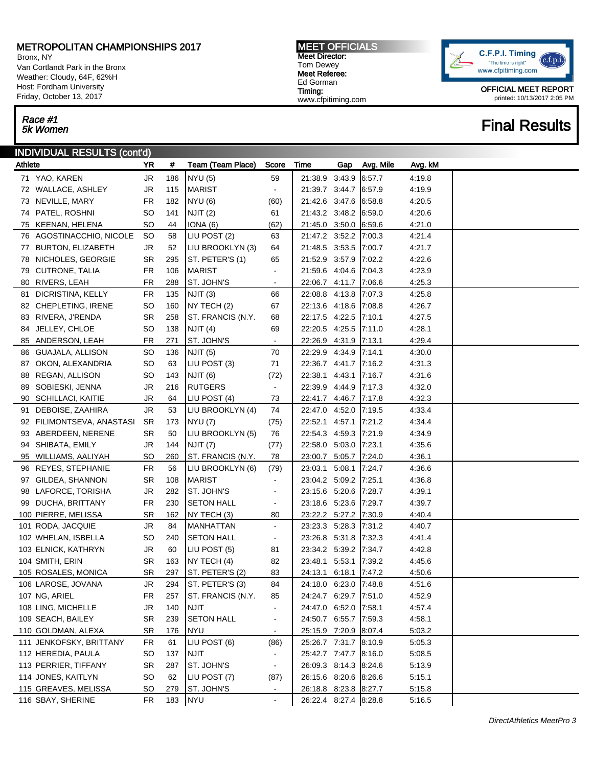Bronx, NY Van Cortlandt Park in the Bronx Weather: Cloudy, 64F, 62%H Host: Fordham University Friday, October 13, 2017

# Race #1<br>5k Women

### INDIVIDUAL RESULTS (cont'd)

| Athlete |                           | YR        | #       | Team (Team Place)   | Score                    | Time                  | Gap | Avg. Mile | Avg. kM |  |
|---------|---------------------------|-----------|---------|---------------------|--------------------------|-----------------------|-----|-----------|---------|--|
|         | 71 YAO, KAREN             | <b>JR</b> | 186     | <b>NYU (5)</b>      | 59                       | 21:38.9 3:43.9        |     | 6.57.7    | 4:19.8  |  |
|         | 72 WALLACE, ASHLEY        | JR        | 115     | <b>MARIST</b>       | $\blacksquare$           | 21:39.7 3:44.7        |     | 6:57.9    | 4:19.9  |  |
|         | 73 NEVILLE, MARY          | <b>FR</b> | 182     | <b>NYU (6)</b>      | (60)                     | 21:42.6 3:47.6        |     | 6.58.8    | 4:20.5  |  |
|         | 74 PATEL, ROSHNI          | <b>SO</b> | 141     | NJIT <sub>(2)</sub> | 61                       | 21:43.2 3:48.2        |     | 6.59.0    | 4:20.6  |  |
|         | 75 KEENAN, HELENA         | SO        | 44      | IONA(6)             | (62)                     | 21:45.0 3:50.0        |     | 6:59.6    | 4:21.0  |  |
|         | 76 AGOSTINACCHIO, NICOLE  | SO.       | 58      | LIU POST (2)        | 63                       | 21:47.2 3:52.2        |     | 7:00.3    | 4:21.4  |  |
|         | 77 BURTON, ELIZABETH      | <b>JR</b> | 52      | LIU BROOKLYN (3)    | 64                       | 21:48.5 3:53.5        |     | 7:00.7    | 4:21.7  |  |
|         | 78 NICHOLES, GEORGIE      | <b>SR</b> | 295     | ST. PETER'S (1)     | 65                       | 21:52.9 3:57.9        |     | 7:02.2    | 4:22.6  |  |
|         | 79 CUTRONE, TALIA         | <b>FR</b> | 106     | MARIST              | ٠                        | 21:59.6 4:04.6        |     | 7:04.3    | 4:23.9  |  |
|         | 80 RIVERS, LEAH           | FR        | 288     | ST. JOHN'S          | $\blacksquare$           | 22:06.7 4:11.7 7:06.6 |     |           | 4:25.3  |  |
| 81      | DICRISTINA, KELLY         | <b>FR</b> | 135     | NJIT (3)            | 66                       | 22:08.8 4:13.8        |     | 7:07.3    | 4:25.8  |  |
|         | 82 CHEPLETING, IRENE      | SO        | 160     | NY TECH (2)         | 67                       | 22:13.6 4:18.6        |     | 7:08.8    | 4:26.7  |  |
|         | 83 RIVERA, J'RENDA        | <b>SR</b> | 258     | ST. FRANCIS (N.Y.   | 68                       | 22:17.5 4:22.5        |     | 7:10.1    | 4:27.5  |  |
|         | 84 JELLEY, CHLOE          | SO        | 138     | NJIT (4)            | 69                       | 22:20.5 4:25.5        |     | 7:11.0    | 4:28.1  |  |
|         | 85 ANDERSON, LEAH         | FR        | 271     | ST. JOHN'S          | $\blacksquare$           | 22:26.9 4:31.9 7:13.1 |     |           | 4:29.4  |  |
|         | 86 GUAJALA, ALLISON       | SO        | 136     | NJIT (5)            | 70                       | 22:29.9 4:34.9        |     | 7:14.1    | 4:30.0  |  |
|         | 87 OKON, ALEXANDRIA       | <b>SO</b> | 63      | LIU POST (3)        | 71                       | 22:36.7 4:41.7        |     | 7:16.2    | 4:31.3  |  |
|         | 88 REGAN, ALLISON         | SO        | 143     | NJIT (6)            | (72)                     | 22:38.1 4:43.1        |     | 7:16.7    | 4:31.6  |  |
|         | 89 SOBIESKI, JENNA        | <b>JR</b> | 216     | <b>RUTGERS</b>      | $\blacksquare$           | 22:39.9 4:44.9        |     | 7:17.3    | 4:32.0  |  |
|         | 90 SCHILLACI, KAITIE      | <b>JR</b> | 64      | LIU POST (4)        | 73                       | 22:41.7 4:46.7        |     | 7:17.8    | 4:32.3  |  |
|         | 91 DEBOISE, ZAAHIRA       | <b>JR</b> | 53      | LIU BROOKLYN (4)    | 74                       | 22:47.0 4:52.0        |     | 7:19.5    | 4:33.4  |  |
|         | 92 FILIMONTSEVA, ANASTASI | <b>SR</b> | 173     | <b>NYU</b> (7)      | (75)                     | 22:52.1 4:57.1        |     | 7:21.2    | 4:34.4  |  |
|         | 93 ABERDEEN, NERENE       | <b>SR</b> | 50      | LIU BROOKLYN (5)    | 76                       | 22:54.3 4:59.3        |     | 7:21.9    | 4:34.9  |  |
|         | 94 SHIBATA, EMILY         | <b>JR</b> | 144     | NJIT (7)            | (77)                     | 22:58.0 5:03.0        |     | 7:23.1    | 4:35.6  |  |
|         | 95 WILLIAMS, AALIYAH      | SO        | 260     | ST. FRANCIS (N.Y.   | 78                       | 23:00.7 5:05.7        |     | 7:24.0    | 4:36.1  |  |
|         | 96 REYES, STEPHANIE       | <b>FR</b> | 56      | LIU BROOKLYN (6)    | (79)                     | 23:03.1 5:08.1        |     | 7:24.7    | 4:36.6  |  |
|         | 97 GILDEA, SHANNON        | <b>SR</b> | 108     | MARIST              | $\blacksquare$           | 23:04.2 5:09.2        |     | 7:25.1    | 4:36.8  |  |
|         | 98 LAFORCE, TORISHA       | <b>JR</b> | 282     | ST. JOHN'S          | $\overline{\phantom{0}}$ | 23:15.6 5:20.6        |     | 7:28.7    | 4:39.1  |  |
|         | 99 DUCHA, BRITTANY        | <b>FR</b> | 230     | <b>SETON HALL</b>   | $\blacksquare$           | 23:18.6 5:23.6        |     | 7:29.7    | 4:39.7  |  |
|         | 100 PIERRE, MELISSA       | <b>SR</b> | 162     | NY TECH (3)         | 80                       | 23:22.2 5:27.2 7:30.9 |     |           | 4:40.4  |  |
|         | 101 RODA, JACQUIE         | <b>JR</b> | 84      | <b>MANHATTAN</b>    | $\blacksquare$           | 23:23.3 5:28.3        |     | 7:31.2    | 4:40.7  |  |
|         | 102 WHELAN, ISBELLA       | SO        | 240     | <b>SETON HALL</b>   | $\blacksquare$           | 23:26.8 5:31.8        |     | 7:32.3    | 441.4   |  |
|         | 103 ELNICK, KATHRYN       | <b>JR</b> | 60      | LIU POST (5)        | 81                       | 23:34.2 5:39.2        |     | 7:34.7    | 4:42.8  |  |
|         | 104 SMITH, ERIN           | <b>SR</b> | 163     | NY TECH (4)         | 82                       | 23:48.1 5:53.1        |     | 7:39.2    | 4:45.6  |  |
|         | 105 ROSALES, MONICA       | <b>SR</b> | 297     | ST. PETER'S (2)     | 83                       | 24:13.1 6:18.1        |     | 7:47.2    | 4:50.6  |  |
|         | 106 LAROSE, JOVANA        | JR        | 294     | ST. PETER'S (3)     | 84                       | 24:18.0 6:23.0        |     | 7:48.8    | 4:51.6  |  |
|         | 107 NG, ARIEL             | FR        | 257     | ST. FRANCIS (N.Y.   | 85                       | 24:24.7 6:29.7 7:51.0 |     |           | 4:52.9  |  |
|         | 108 LING, MICHELLE        | <b>JR</b> | 140     | <b>NJIT</b>         | $\blacksquare$           | 24:47.0 6:52.0        |     | 7:58.1    | 4:57.4  |  |
|         | 109 SEACH, BAILEY         | <b>SR</b> | 239     | <b>SETON HALL</b>   | $\blacksquare$           | 24:50.7 6:55.7        |     | 7:59.3    | 4:58.1  |  |
|         | 110 GOLDMAN, ALEXA        | <b>SR</b> | 176     | <b>NYU</b>          | $\blacksquare$           | 25:15.9 7:20.9 8:07.4 |     |           | 5:03.2  |  |
|         | 111 JENKOFSKY, BRITTANY   | <b>FR</b> | 61      | LIU POST (6)        | (86)                     | 25:26.7 7:31.7 8:10.9 |     |           | 5:05.3  |  |
|         | 112 HEREDIA, PAULA        | SO        | 137     | <b>NJIT</b>         | $\blacksquare$           | 25:42.7 7:47.7        |     | 8:16.0    | 5:08.5  |  |
|         | 113 PERRIER, TIFFANY      | <b>SR</b> | 287     | ST. JOHN'S          | $\blacksquare$           | 26:09.3 8:14.3        |     | 8:24.6    | 5:13.9  |  |
|         | 114 JONES, KAITLYN        | <b>SO</b> | 62      | LIU POST (7)        | (87)                     | 26:15.6 8:20.6        |     | 8:26.6    | 5:15.1  |  |
|         | 115 GREAVES, MELISSA      | <b>SO</b> | 279     | ST. JOHN'S          | $\blacksquare$           | 26:18.8 8:23.8 8:27.7 |     |           | 5:15.8  |  |
|         | 116 SBAY, SHERINE         | FR.       | 183 NYU |                     | $\blacksquare$           | 26:22.4 8:27.4 8:28.8 |     |           | 5:16.5  |  |

MEET OFFICIALS Meet Director: Tom Dewey Meet Referee: Ed Gorman Timing:

www.cfpitiming.com

C.F.P.I. Timing  $(c.f.p.i$ "The time is right" www.cfpitiming.com

> OFFICIAL MEET REPORT printed: 10/13/2017 2:05 PM

## **Final Results**